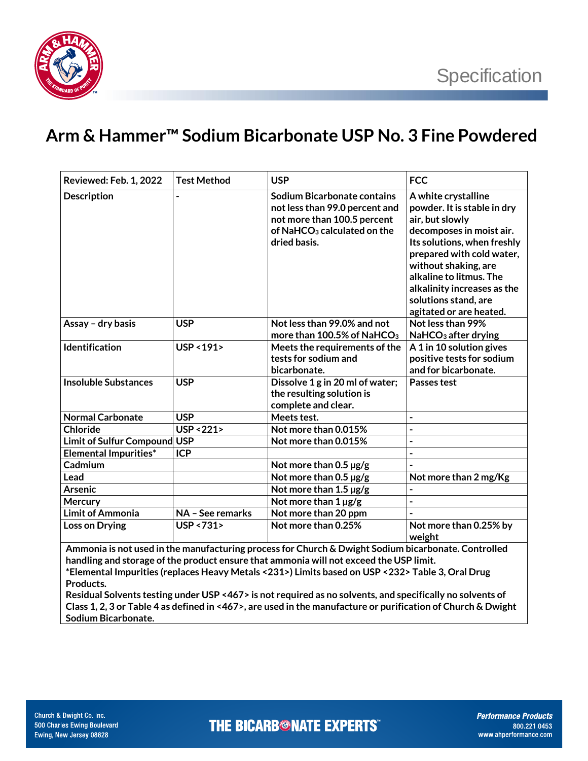

## **Arm & Hammer™ Sodium Bicarbonate USP No. 3 Fine Powdered**

| <b>Reviewed: Feb. 1, 2022</b>                                                                                                                                                                 | <b>Test Method</b>     | <b>USP</b>                                                                                                                                              | <b>FCC</b>                                                                                                                                                                                                                                                                                         |  |  |
|-----------------------------------------------------------------------------------------------------------------------------------------------------------------------------------------------|------------------------|---------------------------------------------------------------------------------------------------------------------------------------------------------|----------------------------------------------------------------------------------------------------------------------------------------------------------------------------------------------------------------------------------------------------------------------------------------------------|--|--|
| <b>Description</b>                                                                                                                                                                            |                        | Sodium Bicarbonate contains<br>not less than 99.0 percent and<br>not more than 100.5 percent<br>of NaHCO <sub>3</sub> calculated on the<br>dried basis. | A white crystalline<br>powder. It is stable in dry<br>air, but slowly<br>decomposes in moist air.<br>Its solutions, when freshly<br>prepared with cold water,<br>without shaking, are<br>alkaline to litmus. The<br>alkalinity increases as the<br>solutions stand, are<br>agitated or are heated. |  |  |
| Assay - dry basis                                                                                                                                                                             | <b>USP</b>             | Not less than 99.0% and not<br>more than 100.5% of NaHCO <sub>3</sub>                                                                                   | Not less than 99%<br>NaHCO <sub>3</sub> after drying                                                                                                                                                                                                                                               |  |  |
| Identification                                                                                                                                                                                | USP < 191>             | Meets the requirements of the<br>tests for sodium and<br>bicarbonate.                                                                                   | A 1 in 10 solution gives<br>positive tests for sodium<br>and for bicarbonate.                                                                                                                                                                                                                      |  |  |
| <b>Insoluble Substances</b>                                                                                                                                                                   | <b>USP</b>             | Dissolve 1 g in 20 ml of water;<br>the resulting solution is<br>complete and clear.                                                                     | Passes test                                                                                                                                                                                                                                                                                        |  |  |
| <b>Normal Carbonate</b>                                                                                                                                                                       | <b>USP</b>             | Meets test.                                                                                                                                             | $\overline{a}$                                                                                                                                                                                                                                                                                     |  |  |
| <b>Chloride</b>                                                                                                                                                                               | <b>USP &lt;221&gt;</b> | Not more than 0.015%                                                                                                                                    | $\overline{a}$                                                                                                                                                                                                                                                                                     |  |  |
| <b>Limit of Sulfur Compound</b>                                                                                                                                                               | <b>USP</b>             | Not more than 0.015%                                                                                                                                    | $\overline{a}$                                                                                                                                                                                                                                                                                     |  |  |
| <b>Elemental Impurities*</b>                                                                                                                                                                  | <b>ICP</b>             |                                                                                                                                                         |                                                                                                                                                                                                                                                                                                    |  |  |
| Cadmium                                                                                                                                                                                       |                        | Not more than $0.5 \,\mathrm{\mu g/g}$                                                                                                                  |                                                                                                                                                                                                                                                                                                    |  |  |
| Lead                                                                                                                                                                                          |                        | Not more than $0.5 \,\mathrm{\mu g/g}$                                                                                                                  | Not more than 2 mg/Kg                                                                                                                                                                                                                                                                              |  |  |
| <b>Arsenic</b>                                                                                                                                                                                |                        | Not more than 1.5 µg/g                                                                                                                                  |                                                                                                                                                                                                                                                                                                    |  |  |
| Mercury                                                                                                                                                                                       |                        | Not more than $1 \mu g/g$                                                                                                                               | $\overline{a}$                                                                                                                                                                                                                                                                                     |  |  |
| <b>Limit of Ammonia</b>                                                                                                                                                                       | NA - See remarks       | Not more than 20 ppm                                                                                                                                    |                                                                                                                                                                                                                                                                                                    |  |  |
| <b>Loss on Drying</b>                                                                                                                                                                         | USP <731>              | Not more than 0.25%                                                                                                                                     | Not more than 0.25% by<br>weight                                                                                                                                                                                                                                                                   |  |  |
| Ammonia is not used in the manufacturing process for Church & Dwight Sodium bicarbonate. Controlled<br>handling and storage of the product ensure that ammonia will not exceed the USP limit. |                        |                                                                                                                                                         |                                                                                                                                                                                                                                                                                                    |  |  |

**\*Elemental Impurities (replaces Heavy Metals <231>) Limits based on USP <232> Table 3, Oral Drug Products.** 

**Residual Solvents testing under USP <467> is not required as no solvents, and specifically no solvents of Class 1, 2, 3 or Table 4 as defined in <467>, are used in the manufacture or purification of Church & Dwight Sodium Bicarbonate.**

**THE BICARB<sup>®</sup>NATE EXPERTS**